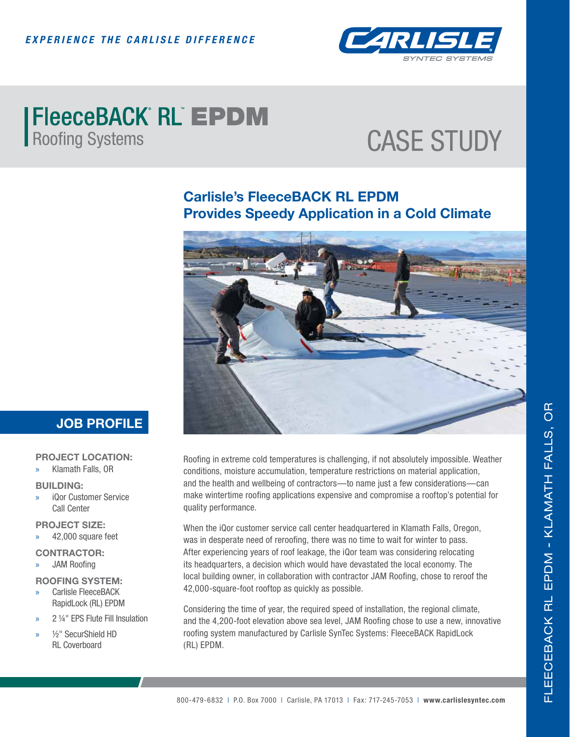

# **| FleeceBACK RL EPDM**<br>Roofing Systems

## CASE STUDY

### **Carlisle's FleeceBACK RL EPDM Provides Speedy Application in a Cold Climate**



### **JOB PROFILE**

#### **PROJECT LOCATION:**

» Klamath Falls, OR

#### **BUILDING:**

» iQor Customer Service Call Center

#### **PROJECT SIZE:**

- » 42,000 square feet
- **CONTRACTOR: JAM Roofing**

#### **ROOFING SYSTEM:**

- » Carlisle FleeceBACK RapidLock (RL) EPDM
- » 2 ¼" EPS Flute Fill Insulation
- » ½" SecurShield HD RL Coverboard

Roofing in extreme cold temperatures is challenging, if not absolutely impossible. Weather conditions, moisture accumulation, temperature restrictions on material application, and the health and wellbeing of contractors—to name just a few considerations—can make wintertime roofing applications expensive and compromise a rooftop's potential for quality performance.

When the iQor customer service call center headquartered in Klamath Falls, Oregon, was in desperate need of reroofing, there was no time to wait for winter to pass. After experiencing years of roof leakage, the iQor team was considering relocating its headquarters, a decision which would have devastated the local economy. The local building owner, in collaboration with contractor JAM Roofing, chose to reroof the 42,000-square-foot rooftop as quickly as possible.

Considering the time of year, the required speed of installation, the regional climate, and the 4,200-foot elevation above sea level, JAM Roofing chose to use a new, innovative roofing system manufactured by Carlisle SynTec Systems: FleeceBACK RapidLock (RL) EPDM.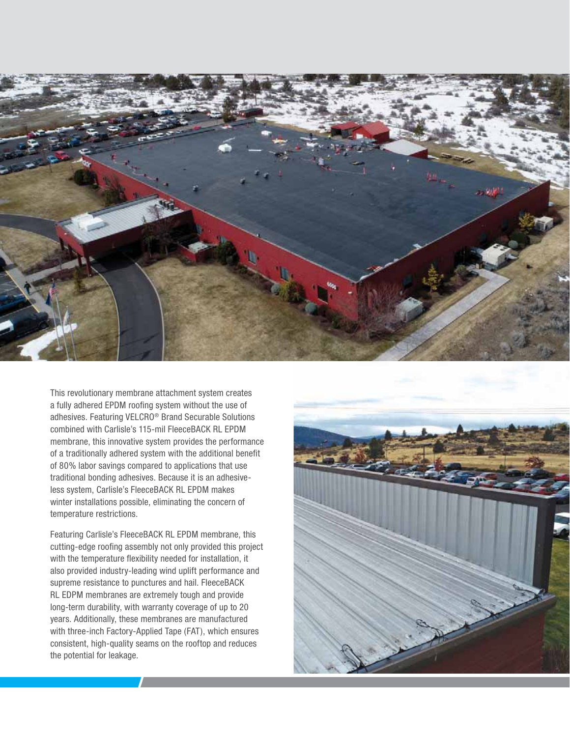

This revolutionary membrane attachment system creates a fully adhered EPDM roofing system without the use of adhesives. Featuring VELCRO® Brand Securable Solutions combined with Carlisle's 115-mil FleeceBACK RL EPDM membrane, this innovative system provides the performance of a traditionally adhered system with the additional benefit of 80% labor savings compared to applications that use traditional bonding adhesives. Because it is an adhesiveless system, Carlisle's FleeceBACK RL EPDM makes winter installations possible, eliminating the concern of temperature restrictions.

Featuring Carlisle's FleeceBACK RL EPDM membrane, this cutting-edge roofing assembly not only provided this project with the temperature flexibility needed for installation, it also provided industry-leading wind uplift performance and supreme resistance to punctures and hail. FleeceBACK RL EDPM membranes are extremely tough and provide long-term durability, with warranty coverage of up to 20 years. Additionally, these membranes are manufactured with three-inch Factory-Applied Tape (FAT), which ensures consistent, high-quality seams on the rooftop and reduces the potential for leakage.

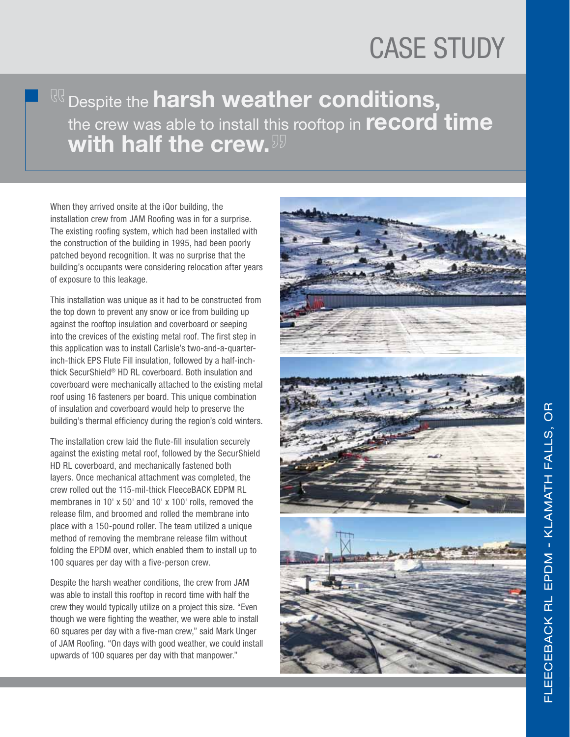## CASE STUDY

## Despite the **harsh weather conditions,** the crew was able to install this rooftop in **record time with half the crew.**

When they arrived onsite at the iQor building, the installation crew from JAM Roofing was in for a surprise. The existing roofing system, which had been installed with the construction of the building in 1995, had been poorly patched beyond recognition. It was no surprise that the building's occupants were considering relocation after years of exposure to this leakage.

This installation was unique as it had to be constructed from the top down to prevent any snow or ice from building up against the rooftop insulation and coverboard or seeping into the crevices of the existing metal roof. The first step in this application was to install Carlisle's two-and-a-quarterinch-thick EPS Flute Fill insulation, followed by a half-inchthick SecurShield® HD RL coverboard. Both insulation and coverboard were mechanically attached to the existing metal roof using 16 fasteners per board. This unique combination of insulation and coverboard would help to preserve the building's thermal efficiency during the region's cold winters.

The installation crew laid the flute-fill insulation securely against the existing metal roof, followed by the SecurShield HD RL coverboard, and mechanically fastened both layers. Once mechanical attachment was completed, the crew rolled out the 115-mil-thick FleeceBACK EDPM RL membranes in 10' x 50' and 10' x 100' rolls, removed the release film, and broomed and rolled the membrane into place with a 150-pound roller. The team utilized a unique method of removing the membrane release film without folding the EPDM over, which enabled them to install up to 100 squares per day with a five-person crew.

Despite the harsh weather conditions, the crew from JAM was able to install this rooftop in record time with half the crew they would typically utilize on a project this size. "Even though we were fighting the weather, we were able to install 60 squares per day with a five-man crew," said Mark Unger of JAM Roofing. "On days with good weather, we could install upwards of 100 squares per day with that manpower."